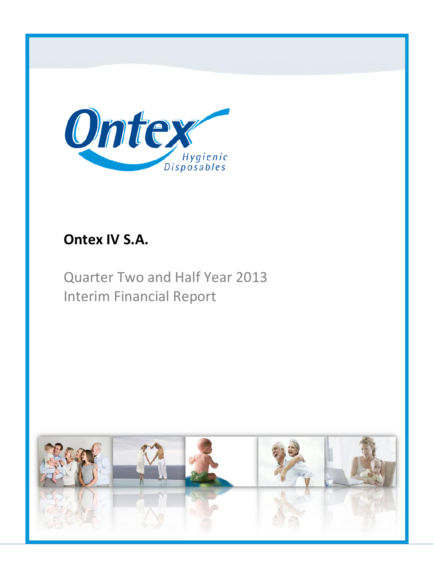

# **Ontex IV S.A.**

Quarter Two and Half Year 2013 Interim Financial Report

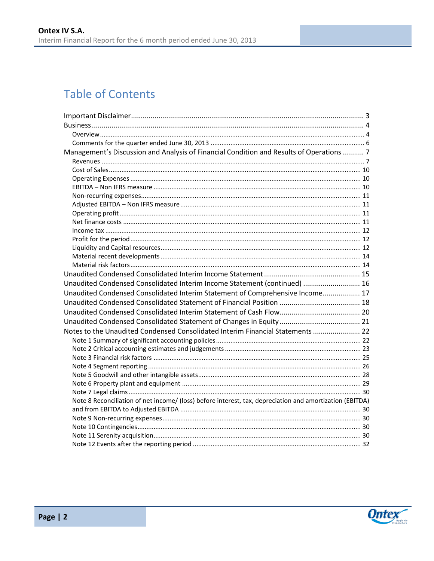# **Table of Contents**

| Management's Discussion and Analysis of Financial Condition and Results of Operations 7                  |  |
|----------------------------------------------------------------------------------------------------------|--|
|                                                                                                          |  |
|                                                                                                          |  |
|                                                                                                          |  |
|                                                                                                          |  |
|                                                                                                          |  |
|                                                                                                          |  |
|                                                                                                          |  |
|                                                                                                          |  |
|                                                                                                          |  |
|                                                                                                          |  |
|                                                                                                          |  |
|                                                                                                          |  |
|                                                                                                          |  |
|                                                                                                          |  |
| Unaudited Condensed Consolidated Interim Income Statement (continued)  16                                |  |
| Unaudited Condensed Consolidated Interim Statement of Comprehensive Income 17                            |  |
|                                                                                                          |  |
|                                                                                                          |  |
|                                                                                                          |  |
| Notes to the Unaudited Condensed Consolidated Interim Financial Statements  22                           |  |
|                                                                                                          |  |
|                                                                                                          |  |
|                                                                                                          |  |
|                                                                                                          |  |
|                                                                                                          |  |
|                                                                                                          |  |
|                                                                                                          |  |
| Note 8 Reconciliation of net income/ (loss) before interest, tax, depreciation and amortization (EBITDA) |  |
|                                                                                                          |  |
|                                                                                                          |  |
|                                                                                                          |  |
|                                                                                                          |  |
|                                                                                                          |  |

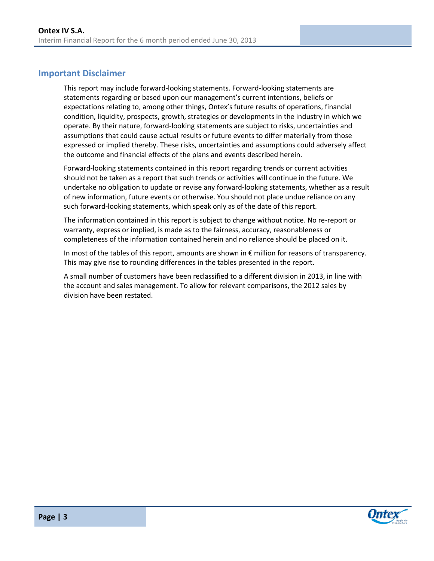## <span id="page-2-0"></span>**Important Disclaimer**

This report may include forward-looking statements. Forward-looking statements are statements regarding or based upon our management's current intentions, beliefs or expectations relating to, among other things, Ontex's future results of operations, financial condition, liquidity, prospects, growth, strategies or developments in the industry in which we operate. By their nature, forward-looking statements are subject to risks, uncertainties and assumptions that could cause actual results or future events to differ materially from those expressed or implied thereby. These risks, uncertainties and assumptions could adversely affect the outcome and financial effects of the plans and events described herein.

Forward-looking statements contained in this report regarding trends or current activities should not be taken as a report that such trends or activities will continue in the future. We undertake no obligation to update or revise any forward-looking statements, whether as a result of new information, future events or otherwise. You should not place undue reliance on any such forward-looking statements, which speak only as of the date of this report.

The information contained in this report is subject to change without notice. No re-report or warranty, express or implied, is made as to the fairness, accuracy, reasonableness or completeness of the information contained herein and no reliance should be placed on it.

In most of the tables of this report, amounts are shown in € million for reasons of transparency. This may give rise to rounding differences in the tables presented in the report.

A small number of customers have been reclassified to a different division in 2013, in line with the account and sales management. To allow for relevant comparisons, the 2012 sales by division have been restated.

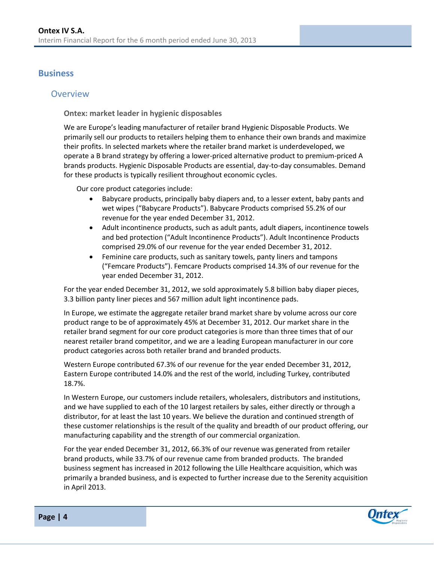### <span id="page-3-0"></span>**Business**

### <span id="page-3-1"></span>**Overview**

**Ontex: market leader in hygienic disposables**

We are Europe's leading manufacturer of retailer brand Hygienic Disposable Products. We primarily sell our products to retailers helping them to enhance their own brands and maximize their profits. In selected markets where the retailer brand market is underdeveloped, we operate a B brand strategy by offering a lower-priced alternative product to premium-priced A brands products. Hygienic Disposable Products are essential, day-to-day consumables. Demand for these products is typically resilient throughout economic cycles.

Our core product categories include:

- Babycare products, principally baby diapers and, to a lesser extent, baby pants and wet wipes ("Babycare Products"). Babycare Products comprised 55.2% of our revenue for the year ended December 31, 2012.
- Adult incontinence products, such as adult pants, adult diapers, incontinence towels and bed protection ("Adult Incontinence Products"). Adult Incontinence Products comprised 29.0% of our revenue for the year ended December 31, 2012.
- Feminine care products, such as sanitary towels, panty liners and tampons ("Femcare Products"). Femcare Products comprised 14.3% of our revenue for the year ended December 31, 2012.

For the year ended December 31, 2012, we sold approximately 5.8 billion baby diaper pieces, 3.3 billion panty liner pieces and 567 million adult light incontinence pads.

In Europe, we estimate the aggregate retailer brand market share by volume across our core product range to be of approximately 45% at December 31, 2012. Our market share in the retailer brand segment for our core product categories is more than three times that of our nearest retailer brand competitor, and we are a leading European manufacturer in our core product categories across both retailer brand and branded products.

Western Europe contributed 67.3% of our revenue for the year ended December 31, 2012, Eastern Europe contributed 14.0% and the rest of the world, including Turkey, contributed 18.7%.

In Western Europe, our customers include retailers, wholesalers, distributors and institutions, and we have supplied to each of the 10 largest retailers by sales, either directly or through a distributor, for at least the last 10 years. We believe the duration and continued strength of these customer relationships is the result of the quality and breadth of our product offering, our manufacturing capability and the strength of our commercial organization.

For the year ended December 31, 2012, 66.3% of our revenue was generated from retailer brand products, while 33.7% of our revenue came from branded products. The branded business segment has increased in 2012 following the Lille Healthcare acquisition, which was primarily a branded business, and is expected to further increase due to the Serenity acquisition in April 2013.

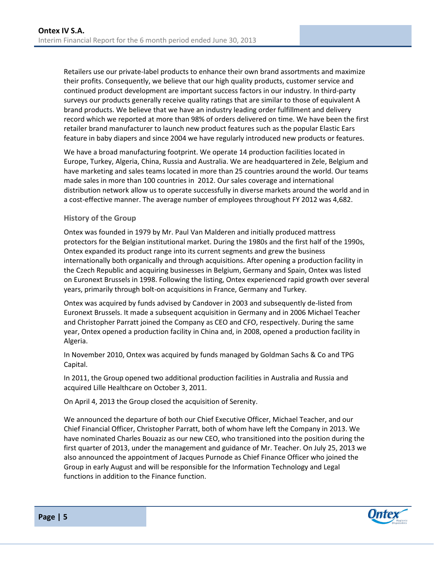Retailers use our private-label products to enhance their own brand assortments and maximize their profits. Consequently, we believe that our high quality products, customer service and continued product development are important success factors in our industry. In third-party surveys our products generally receive quality ratings that are similar to those of equivalent A brand products. We believe that we have an industry leading order fulfillment and delivery record which we reported at more than 98% of orders delivered on time. We have been the first retailer brand manufacturer to launch new product features such as the popular Elastic Ears feature in baby diapers and since 2004 we have regularly introduced new products or features.

We have a broad manufacturing footprint. We operate 14 production facilities located in Europe, Turkey, Algeria, China, Russia and Australia. We are headquartered in Zele, Belgium and have marketing and sales teams located in more than 25 countries around the world. Our teams made sales in more than 100 countries in 2012. Our sales coverage and international distribution network allow us to operate successfully in diverse markets around the world and in a cost-effective manner. The average number of employees throughout FY 2012 was 4,682.

#### **History of the Group**

Ontex was founded in 1979 by Mr. Paul Van Malderen and initially produced mattress protectors for the Belgian institutional market. During the 1980s and the first half of the 1990s, Ontex expanded its product range into its current segments and grew the business internationally both organically and through acquisitions. After opening a production facility in the Czech Republic and acquiring businesses in Belgium, Germany and Spain, Ontex was listed on Euronext Brussels in 1998. Following the listing, Ontex experienced rapid growth over several years, primarily through bolt-on acquisitions in France, Germany and Turkey.

Ontex was acquired by funds advised by Candover in 2003 and subsequently de-listed from Euronext Brussels. It made a subsequent acquisition in Germany and in 2006 Michael Teacher and Christopher Parratt joined the Company as CEO and CFO, respectively. During the same year, Ontex opened a production facility in China and, in 2008, opened a production facility in Algeria.

In November 2010, Ontex was acquired by funds managed by Goldman Sachs & Co and TPG Capital.

In 2011, the Group opened two additional production facilities in Australia and Russia and acquired Lille Healthcare on October 3, 2011.

On April 4, 2013 the Group closed the acquisition of Serenity.

We announced the departure of both our Chief Executive Officer, Michael Teacher, and our Chief Financial Officer, Christopher Parratt, both of whom have left the Company in 2013. We have nominated Charles Bouaziz as our new CEO, who transitioned into the position during the first quarter of 2013, under the management and guidance of Mr. Teacher. On July 25, 2013 we also announced the appointment of Jacques Purnode as Chief Finance Officer who joined the Group in early August and will be responsible for the Information Technology and Legal functions in addition to the Finance function.

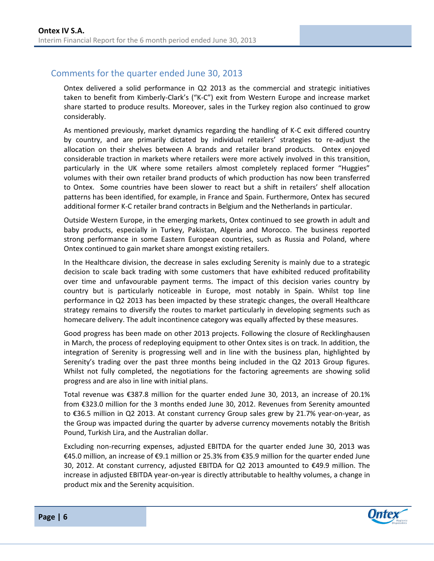## <span id="page-5-0"></span>Comments for the quarter ended June 30, 2013

Ontex delivered a solid performance in Q2 2013 as the commercial and strategic initiatives taken to benefit from Kimberly-Clark's ("K-C") exit from Western Europe and increase market share started to produce results. Moreover, sales in the Turkey region also continued to grow considerably.

As mentioned previously, market dynamics regarding the handling of K-C exit differed country by country, and are primarily dictated by individual retailers' strategies to re-adjust the allocation on their shelves between A brands and retailer brand products. Ontex enjoyed considerable traction in markets where retailers were more actively involved in this transition, particularly in the UK where some retailers almost completely replaced former "Huggies" volumes with their own retailer brand products of which production has now been transferred to Ontex. Some countries have been slower to react but a shift in retailers' shelf allocation patterns has been identified, for example, in France and Spain. Furthermore, Ontex has secured additional former K-C retailer brand contracts in Belgium and the Netherlands in particular.

Outside Western Europe, in the emerging markets, Ontex continued to see growth in adult and baby products, especially in Turkey, Pakistan, Algeria and Morocco. The business reported strong performance in some Eastern European countries, such as Russia and Poland, where Ontex continued to gain market share amongst existing retailers.

In the Healthcare division, the decrease in sales excluding Serenity is mainly due to a strategic decision to scale back trading with some customers that have exhibited reduced profitability over time and unfavourable payment terms. The impact of this decision varies country by country but is particularly noticeable in Europe, most notably in Spain. Whilst top line performance in Q2 2013 has been impacted by these strategic changes, the overall Healthcare strategy remains to diversify the routes to market particularly in developing segments such as homecare delivery. The adult incontinence category was equally affected by these measures.

Good progress has been made on other 2013 projects. Following the closure of Recklinghausen in March, the process of redeploying equipment to other Ontex sites is on track. In addition, the integration of Serenity is progressing well and in line with the business plan, highlighted by Serenity's trading over the past three months being included in the Q2 2013 Group figures. Whilst not fully completed, the negotiations for the factoring agreements are showing solid progress and are also in line with initial plans.

Total revenue was €387.8 million for the quarter ended June 30, 2013, an increase of 20.1% from €323.0 million for the 3 months ended June 30, 2012. Revenues from Serenity amounted to €36.5 million in Q2 2013. At constant currency Group sales grew by 21.7% year-on-year, as the Group was impacted during the quarter by adverse currency movements notably the British Pound, Turkish Lira, and the Australian dollar.

Excluding non-recurring expenses, adjusted EBITDA for the quarter ended June 30, 2013 was €45.0 million, an increase of €9.1 million or 25.3% from €35.9 million for the quarter ended June 30, 2012. At constant currency, adjusted EBITDA for Q2 2013 amounted to €49.9 million. The increase in adjusted EBITDA year-on-year is directly attributable to healthy volumes, a change in product mix and the Serenity acquisition.

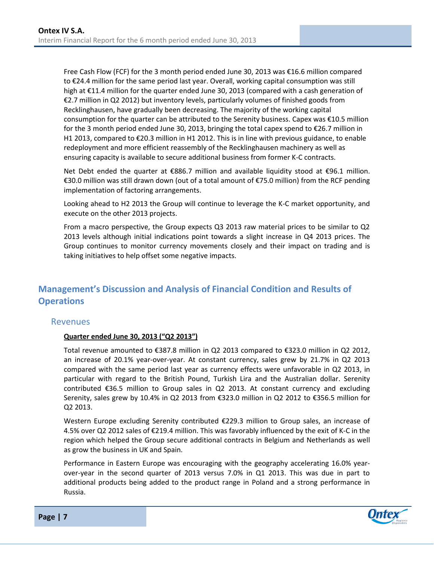Free Cash Flow (FCF) for the 3 month period ended June 30, 2013 was €16.6 million compared to €24.4 million for the same period last year. Overall, working capital consumption was still high at €11.4 million for the quarter ended June 30, 2013 (compared with a cash generation of €2.7 million in Q2 2012) but inventory levels, particularly volumes of finished goods from Recklinghausen, have gradually been decreasing. The majority of the working capital consumption for the quarter can be attributed to the Serenity business. Capex was €10.5 million for the 3 month period ended June 30, 2013, bringing the total capex spend to €26.7 million in H1 2013, compared to €20.3 million in H1 2012. This is in line with previous guidance, to enable redeployment and more efficient reassembly of the Recklinghausen machinery as well as ensuring capacity is available to secure additional business from former K-C contracts.

Net Debt ended the quarter at €886.7 million and available liquidity stood at €96.1 million. €30.0 million was still drawn down (out of a total amount of €75.0 million) from the RCF pending implementation of factoring arrangements.

Looking ahead to H2 2013 the Group will continue to leverage the K-C market opportunity, and execute on the other 2013 projects.

From a macro perspective, the Group expects Q3 2013 raw material prices to be similar to Q2 2013 levels although initial indications point towards a slight increase in Q4 2013 prices. The Group continues to monitor currency movements closely and their impact on trading and is taking initiatives to help offset some negative impacts.

## <span id="page-6-0"></span>**Management's Discussion and Analysis of Financial Condition and Results of Operations**

#### <span id="page-6-1"></span>**Revenues**

#### **Quarter ended June 30, 2013 ("Q2 2013")**

Total revenue amounted to €387.8 million in Q2 2013 compared to €323.0 million in Q2 2012, an increase of 20.1% year-over-year. At constant currency, sales grew by 21.7% in Q2 2013 compared with the same period last year as currency effects were unfavorable in Q2 2013, in particular with regard to the British Pound, Turkish Lira and the Australian dollar. Serenity contributed  $\epsilon$ 36.5 million to Group sales in Q2 2013. At constant currency and excluding Serenity, sales grew by 10.4% in Q2 2013 from €323.0 million in Q2 2012 to €356.5 million for Q2 2013.

Western Europe excluding Serenity contributed €229.3 million to Group sales, an increase of 4.5% over Q2 2012 sales of €219.4 million. This was favorably influenced by the exit of K-C in the region which helped the Group secure additional contracts in Belgium and Netherlands as well as grow the business in UK and Spain.

Performance in Eastern Europe was encouraging with the geography accelerating 16.0% yearover-year in the second quarter of 2013 versus 7.0% in Q1 2013. This was due in part to additional products being added to the product range in Poland and a strong performance in Russia.

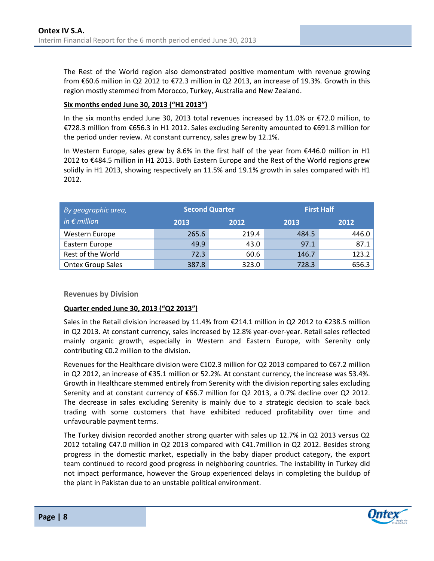The Rest of the World region also demonstrated positive momentum with revenue growing from €60.6 million in Q2 2012 to €72.3 million in Q2 2013, an increase of 19.3%. Growth in this region mostly stemmed from Morocco, Turkey, Australia and New Zealand.

#### **Six months ended June 30, 2013 ("H1 2013")**

In the six months ended June 30, 2013 total revenues increased by 11.0% or €72.0 million, to €728.3 million from €656.3 in H1 2012. Sales excluding Serenity amounted to €691.8 million for the period under review. At constant currency, sales grew by 12.1%.

In Western Europe, sales grew by 8.6% in the first half of the year from €446.0 million in H1 2012 to €484.5 million in H1 2013. Both Eastern Europe and the Rest of the World regions grew solidly in H1 2013, showing respectively an 11.5% and 19.1% growth in sales compared with H1 2012.

| By geographic area,      | <b>Second Quarter</b> |       | <b>First Half</b> |       |  |
|--------------------------|-----------------------|-------|-------------------|-------|--|
| in $\epsilon$ million    | 2013                  | 2012  | 2013              | 2012  |  |
| Western Europe           | 265.6                 | 219.4 | 484.5             | 446.0 |  |
| Eastern Europe           | 49.9                  | 43.0  | 97.1              | 87.1  |  |
| Rest of the World        | 72.3                  | 60.6  | 146.7             | 123.2 |  |
| <b>Ontex Group Sales</b> | 387.8                 | 323.0 | 728.3             | 656.3 |  |

#### **Revenues by Division**

#### **Quarter ended June 30, 2013 ("Q2 2013")**

Sales in the Retail division increased by 11.4% from €214.1 million in Q2 2012 to €238.5 million in Q2 2013. At constant currency, sales increased by 12.8% year-over-year. Retail sales reflected mainly organic growth, especially in Western and Eastern Europe, with Serenity only contributing €0.2 million to the division.

Revenues for the Healthcare division were €102.3 million for Q2 2013 compared to €67.2 million in Q2 2012, an increase of €35.1 million or 52.2%. At constant currency, the increase was 53.4%. Growth in Healthcare stemmed entirely from Serenity with the division reporting sales excluding Serenity and at constant currency of €66.7 million for Q2 2013, a 0.7% decline over Q2 2012. The decrease in sales excluding Serenity is mainly due to a strategic decision to scale back trading with some customers that have exhibited reduced profitability over time and unfavourable payment terms.

The Turkey division recorded another strong quarter with sales up 12.7% in Q2 2013 versus Q2 2012 totaling €47.0 million in Q2 2013 compared with €41.7million in Q2 2012. Besides strong progress in the domestic market, especially in the baby diaper product category, the export team continued to record good progress in neighboring countries. The instability in Turkey did not impact performance, however the Group experienced delays in completing the buildup of the plant in Pakistan due to an unstable political environment.

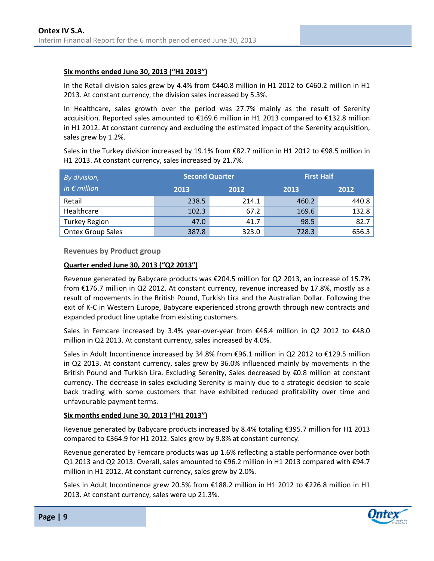#### **Six months ended June 30, 2013 ("H1 2013")**

In the Retail division sales grew by 4.4% from €440.8 million in H1 2012 to €460.2 million in H1 2013. At constant currency, the division sales increased by 5.3%.

In Healthcare, sales growth over the period was 27.7% mainly as the result of Serenity acquisition. Reported sales amounted to €169.6 million in H1 2013 compared to €132.8 million in H1 2012. At constant currency and excluding the estimated impact of the Serenity acquisition, sales grew by 1.2%.

Sales in the Turkey division increased by 19.1% from €82.7 million in H1 2012 to €98.5 million in H1 2013. At constant currency, sales increased by 21.7%.

| By division,             | <b>Second Quarter</b> |       |       | <b>First Half</b> |
|--------------------------|-----------------------|-------|-------|-------------------|
| in $\epsilon$ million    | 2013                  | 2012  | 2013  | 2012              |
| Retail                   | 238.5                 | 214.1 | 460.2 | 440.8             |
| Healthcare               | 102.3                 | 67.2  | 169.6 | 132.8             |
| <b>Turkey Region</b>     | 47.0                  | 41.7  | 98.5  | 82.7              |
| <b>Ontex Group Sales</b> | 387.8                 | 323.0 | 728.3 | 656.3             |

**Revenues by Product group**

#### **Quarter ended June 30, 2013 ("Q2 2013")**

Revenue generated by Babycare products was €204.5 million for Q2 2013, an increase of 15.7% from €176.7 million in Q2 2012. At constant currency, revenue increased by 17.8%, mostly as a result of movements in the British Pound, Turkish Lira and the Australian Dollar. Following the exit of K-C in Western Europe, Babycare experienced strong growth through new contracts and expanded product line uptake from existing customers.

Sales in Femcare increased by 3.4% year-over-year from  $€46.4$  million in Q2 2012 to  $€48.0$ million in Q2 2013. At constant currency, sales increased by 4.0%.

Sales in Adult Incontinence increased by 34.8% from €96.1 million in Q2 2012 to €129.5 million in Q2 2013. At constant currency, sales grew by 36.0% influenced mainly by movements in the British Pound and Turkish Lira. Excluding Serenity, Sales decreased by €0.8 million at constant currency. The decrease in sales excluding Serenity is mainly due to a strategic decision to scale back trading with some customers that have exhibited reduced profitability over time and unfavourable payment terms.

#### **Six months ended June 30, 2013 ("H1 2013")**

Revenue generated by Babycare products increased by 8.4% totaling €395.7 million for H1 2013 compared to €364.9 for H1 2012. Sales grew by 9.8% at constant currency.

Revenue generated by Femcare products was up 1.6% reflecting a stable performance over both Q1 2013 and Q2 2013. Overall, sales amounted to €96.2 million in H1 2013 compared with €94.7 million in H1 2012. At constant currency, sales grew by 2.0%.

Sales in Adult Incontinence grew 20.5% from €188.2 million in H1 2012 to €226.8 million in H1 2013. At constant currency, sales were up 21.3%.

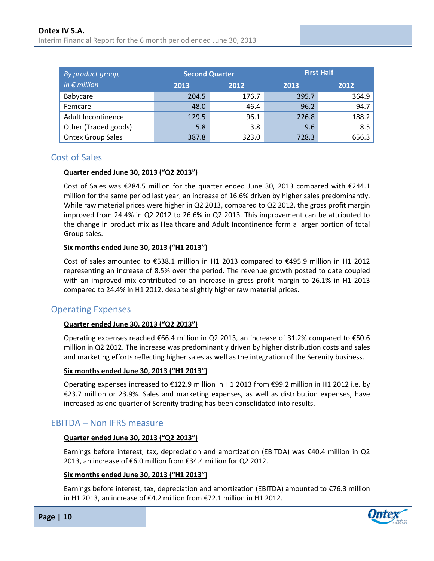| By product group,        | <b>Second Quarter</b> |       | <b>First Half</b> |       |  |  |
|--------------------------|-----------------------|-------|-------------------|-------|--|--|
| in $\epsilon$ million    | 2013                  | 2012  | 2013              | 2012  |  |  |
| Babycare                 | 204.5                 | 176.7 | 395.7             | 364.9 |  |  |
| Femcare                  | 48.0                  | 46.4  | 96.2              | 94.7  |  |  |
| Adult Incontinence       | 129.5                 | 96.1  | 226.8             | 188.2 |  |  |
| Other (Traded goods)     | 5.8                   | 3.8   | 9.6               | 8.5   |  |  |
| <b>Ontex Group Sales</b> | 387.8                 | 323.0 | 728.3             | 656.3 |  |  |

### <span id="page-9-0"></span>Cost of Sales

#### **Quarter ended June 30, 2013 ("Q2 2013")**

Cost of Sales was €284.5 million for the quarter ended June 30, 2013 compared with €244.1 million for the same period last year, an increase of 16.6% driven by higher sales predominantly. While raw material prices were higher in Q2 2013, compared to Q2 2012, the gross profit margin improved from 24.4% in Q2 2012 to 26.6% in Q2 2013. This improvement can be attributed to the change in product mix as Healthcare and Adult Incontinence form a larger portion of total Group sales.

#### **Six months ended June 30, 2013 ("H1 2013")**

Cost of sales amounted to €538.1 million in H1 2013 compared to €495.9 million in H1 2012 representing an increase of 8.5% over the period. The revenue growth posted to date coupled with an improved mix contributed to an increase in gross profit margin to 26.1% in H1 2013 compared to 24.4% in H1 2012, despite slightly higher raw material prices.

## <span id="page-9-1"></span>Operating Expenses

#### **Quarter ended June 30, 2013 ("Q2 2013")**

Operating expenses reached  $\epsilon$ 66.4 million in Q2 2013, an increase of 31.2% compared to  $\epsilon$ 50.6 million in Q2 2012. The increase was predominantly driven by higher distribution costs and sales and marketing efforts reflecting higher sales as well as the integration of the Serenity business.

#### **Six months ended June 30, 2013 ("H1 2013")**

Operating expenses increased to €122.9 million in H1 2013 from €99.2 million in H1 2012 i.e. by €23.7 million or 23.9%. Sales and marketing expenses, as well as distribution expenses, have increased as one quarter of Serenity trading has been consolidated into results.

## <span id="page-9-2"></span>EBITDA – Non IFRS measure

#### **Quarter ended June 30, 2013 ("Q2 2013")**

Earnings before interest, tax, depreciation and amortization (EBITDA) was €40.4 million in Q2 2013, an increase of €6.0 million from €34.4 million for Q2 2012.

#### **Six months ended June 30, 2013 ("H1 2013")**

Earnings before interest, tax, depreciation and amortization (EBITDA) amounted to €76.3 million in H1 2013, an increase of €4.2 million from €72.1 million in H1 2012.



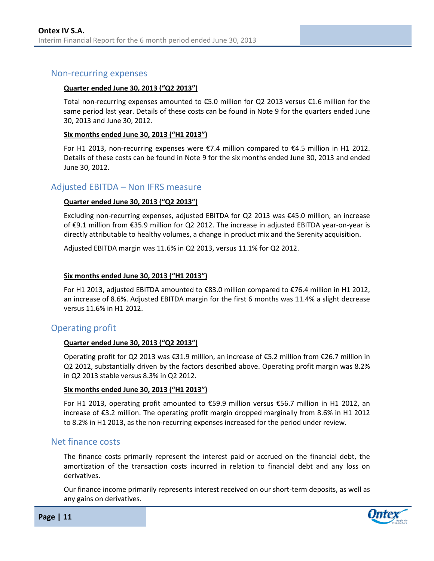#### <span id="page-10-0"></span>Non-recurring expenses

#### **Quarter ended June 30, 2013 ("Q2 2013")**

Total non-recurring expenses amounted to €5.0 million for Q2 2013 versus €1.6 million for the same period last year. Details of these costs can be found in Note 9 for the quarters ended June 30, 2013 and June 30, 2012.

#### **Six months ended June 30, 2013 ("H1 2013")**

For H1 2013, non-recurring expenses were €7.4 million compared to €4.5 million in H1 2012. Details of these costs can be found in Note 9 for the six months ended June 30, 2013 and ended June 30, 2012.

#### <span id="page-10-1"></span>Adjusted EBITDA – Non IFRS measure

#### **Quarter ended June 30, 2013 ("Q2 2013")**

Excluding non-recurring expenses, adjusted EBITDA for Q2 2013 was €45.0 million, an increase of €9.1 million from €35.9 million for Q2 2012. The increase in adjusted EBITDA year-on-year is directly attributable to healthy volumes, a change in product mix and the Serenity acquisition.

Adjusted EBITDA margin was 11.6% in Q2 2013, versus 11.1% for Q2 2012.

#### **Six months ended June 30, 2013 ("H1 2013")**

For H1 2013, adjusted EBITDA amounted to €83.0 million compared to €76.4 million in H1 2012, an increase of 8.6%. Adjusted EBITDA margin for the first 6 months was 11.4% a slight decrease versus 11.6% in H1 2012.

#### <span id="page-10-2"></span>Operating profit

#### **Quarter ended June 30, 2013 ("Q2 2013")**

Operating profit for Q2 2013 was €31.9 million, an increase of €5.2 million from €26.7 million in Q2 2012, substantially driven by the factors described above. Operating profit margin was 8.2% in Q2 2013 stable versus 8.3% in Q2 2012.

#### **Six months ended June 30, 2013 ("H1 2013")**

For H1 2013, operating profit amounted to €59.9 million versus €56.7 million in H1 2012, an increase of €3.2 million. The operating profit margin dropped marginally from 8.6% in H1 2012 to 8.2% in H1 2013, as the non-recurring expenses increased for the period under review.

#### <span id="page-10-3"></span>Net finance costs

The finance costs primarily represent the interest paid or accrued on the financial debt, the amortization of the transaction costs incurred in relation to financial debt and any loss on derivatives.

Our finance income primarily represents interest received on our short-term deposits, as well as any gains on derivatives.



**Page | 11**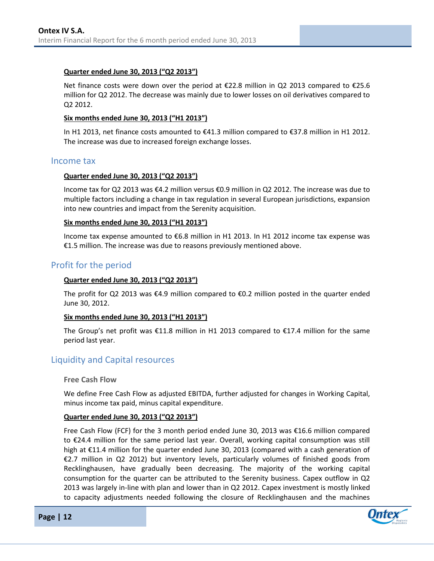#### **Quarter ended June 30, 2013 ("Q2 2013")**

Net finance costs were down over the period at €22.8 million in Q2 2013 compared to €25.6 million for Q2 2012. The decrease was mainly due to lower losses on oil derivatives compared to Q2 2012.

#### **Six months ended June 30, 2013 ("H1 2013")**

In H1 2013, net finance costs amounted to €41.3 million compared to €37.8 million in H1 2012. The increase was due to increased foreign exchange losses.

#### <span id="page-11-0"></span>Income tax

#### **Quarter ended June 30, 2013 ("Q2 2013")**

Income tax for Q2 2013 was €4.2 million versus €0.9 million in Q2 2012. The increase was due to multiple factors including a change in tax regulation in several European jurisdictions, expansion into new countries and impact from the Serenity acquisition.

#### **Six months ended June 30, 2013 ("H1 2013")**

Income tax expense amounted to €6.8 million in H1 2013. In H1 2012 income tax expense was €1.5 million. The increase was due to reasons previously mentioned above.

### <span id="page-11-1"></span>Profit for the period

#### **Quarter ended June 30, 2013 ("Q2 2013")**

The profit for Q2 2013 was  $\epsilon$ 4.9 million compared to  $\epsilon$ 0.2 million posted in the quarter ended June 30, 2012.

#### **Six months ended June 30, 2013 ("H1 2013")**

The Group's net profit was €11.8 million in H1 2013 compared to €17.4 million for the same period last year.

### <span id="page-11-2"></span>Liquidity and Capital resources

**Free Cash Flow** 

We define Free Cash Flow as adjusted EBITDA, further adjusted for changes in Working Capital, minus income tax paid, minus capital expenditure.

#### **Quarter ended June 30, 2013 ("Q2 2013")**

Free Cash Flow (FCF) for the 3 month period ended June 30, 2013 was €16.6 million compared to €24.4 million for the same period last year. Overall, working capital consumption was still high at €11.4 million for the quarter ended June 30, 2013 (compared with a cash generation of €2.7 million in Q2 2012) but inventory levels, particularly volumes of finished goods from Recklinghausen, have gradually been decreasing. The majority of the working capital consumption for the quarter can be attributed to the Serenity business. Capex outflow in Q2 2013 was largely in-line with plan and lower than in Q2 2012. Capex investment is mostly linked to capacity adjustments needed following the closure of Recklinghausen and the machines



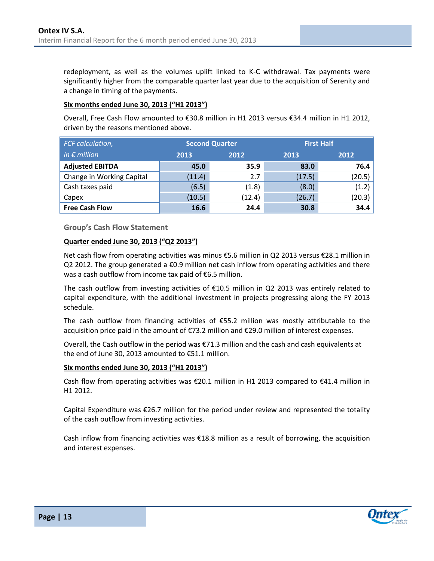redeployment, as well as the volumes uplift linked to K-C withdrawal. Tax payments were significantly higher from the comparable quarter last year due to the acquisition of Serenity and a change in timing of the payments.

#### **Six months ended June 30, 2013 ("H1 2013")**

Overall, Free Cash Flow amounted to €30.8 million in H1 2013 versus €34.4 million in H1 2012, driven by the reasons mentioned above.

| FCF calculation,          |              | <b>Second Quarter</b> | <b>First Half</b> |        |  |  |
|---------------------------|--------------|-----------------------|-------------------|--------|--|--|
| in $\epsilon$ million     | 2013<br>2012 |                       | 2013              | 2012   |  |  |
| <b>Adjusted EBITDA</b>    | 45.0         | 35.9                  | 83.0              | 76.4   |  |  |
| Change in Working Capital | (11.4)       | 2.7                   | (17.5)            | (20.5) |  |  |
| Cash taxes paid           | (6.5)        | (1.8)                 | (8.0)             | (1.2)  |  |  |
| Capex                     | (10.5)       | (12.4)                | (26.7)            | (20.3) |  |  |
| <b>Free Cash Flow</b>     | 16.6         | 24.4                  | 30.8              | 34.4   |  |  |

**Group's Cash Flow Statement**

#### **Quarter ended June 30, 2013 ("Q2 2013")**

Net cash flow from operating activities was minus €5.6 million in Q2 2013 versus €28.1 million in Q2 2012. The group generated a €0.9 million net cash inflow from operating activities and there was a cash outflow from income tax paid of €6.5 million.

The cash outflow from investing activities of €10.5 million in Q2 2013 was entirely related to capital expenditure, with the additional investment in projects progressing along the FY 2013 schedule.

The cash outflow from financing activities of €55.2 million was mostly attributable to the acquisition price paid in the amount of €73.2 million and €29.0 million of interest expenses.

Overall, the Cash outflow in the period was €71.3 million and the cash and cash equivalents at the end of June 30, 2013 amounted to €51.1 million.

#### **Six months ended June 30, 2013 ("H1 2013")**

Cash flow from operating activities was €20.1 million in H1 2013 compared to €41.4 million in H1 2012.

Capital Expenditure was €26.7 million for the period under review and represented the totality of the cash outflow from investing activities.

Cash inflow from financing activities was €18.8 million as a result of borrowing, the acquisition and interest expenses.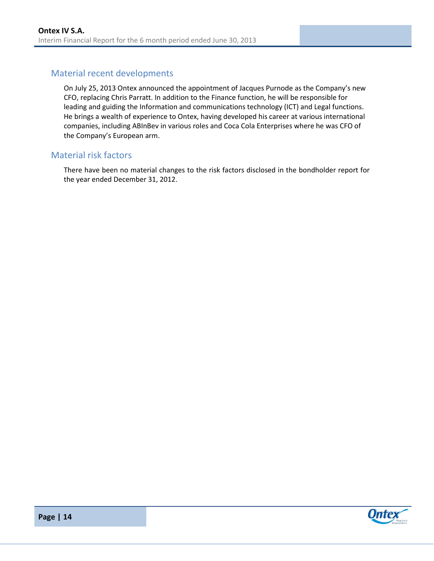## <span id="page-13-0"></span>Material recent developments

On July 25, 2013 Ontex announced the appointment of Jacques Purnode as the Company's new CFO, replacing Chris Parratt. In addition to the Finance function, he will be responsible for leading and guiding the Information and communications technology (ICT) and Legal functions. He brings a wealth of experience to Ontex, having developed his career at various international companies, including ABInBev in various roles and Coca Cola Enterprises where he was CFO of the Company's European arm.

### <span id="page-13-1"></span>Material risk factors

There have been no material changes to the risk factors disclosed in the bondholder report for the year ended December 31, 2012.



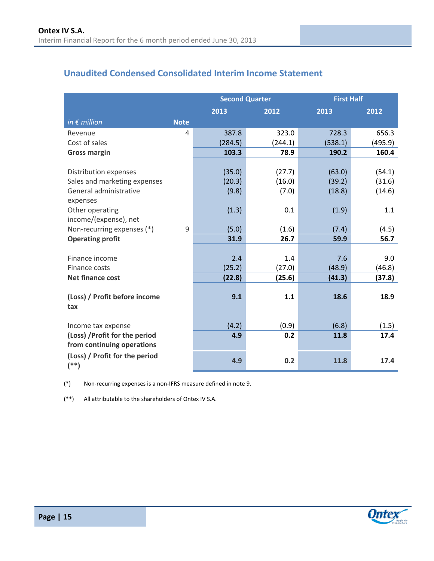## <span id="page-14-0"></span>**Unaudited Condensed Consolidated Interim Income Statement**

|                                           |             | <b>Second Quarter</b> |         | <b>First Half</b> |         |  |
|-------------------------------------------|-------------|-----------------------|---------|-------------------|---------|--|
|                                           |             | 2013                  | 2012    | 2013              | 2012    |  |
| in $\epsilon$ million                     | <b>Note</b> |                       |         |                   |         |  |
| Revenue                                   | 4           | 387.8                 | 323.0   | 728.3             | 656.3   |  |
| Cost of sales                             |             | (284.5)               | (244.1) | (538.1)           | (495.9) |  |
| <b>Gross margin</b>                       |             | 103.3                 | 78.9    | 190.2             | 160.4   |  |
|                                           |             |                       |         |                   |         |  |
| Distribution expenses                     |             | (35.0)                | (27.7)  | (63.0)            | (54.1)  |  |
| Sales and marketing expenses              |             | (20.3)                | (16.0)  | (39.2)            | (31.6)  |  |
| General administrative                    |             | (9.8)                 | (7.0)   | (18.8)            | (14.6)  |  |
| expenses                                  |             |                       |         |                   |         |  |
| Other operating                           |             | (1.3)                 | 0.1     | (1.9)             | 1.1     |  |
| income/(expense), net                     |             |                       |         |                   |         |  |
| Non-recurring expenses (*)                | 9           | (5.0)                 | (1.6)   | (7.4)             | (4.5)   |  |
| <b>Operating profit</b>                   |             | 31.9                  | 26.7    | 59.9              | 56.7    |  |
|                                           |             |                       |         |                   |         |  |
| Finance income                            |             | 2.4                   | 1.4     | 7.6               | 9.0     |  |
| Finance costs                             |             | (25.2)                | (27.0)  | (48.9)            | (46.8)  |  |
| <b>Net finance cost</b>                   |             | (22.8)                | (25.6)  | (41.3)            | (37.8)  |  |
|                                           |             | 9.1                   | 1.1     | 18.6              | 18.9    |  |
| (Loss) / Profit before income<br>tax      |             |                       |         |                   |         |  |
|                                           |             |                       |         |                   |         |  |
| Income tax expense                        |             | (4.2)                 | (0.9)   | (6.8)             | (1.5)   |  |
| (Loss) / Profit for the period            |             | 4.9                   | 0.2     | 11.8              | 17.4    |  |
| from continuing operations                |             |                       |         |                   |         |  |
| (Loss) / Profit for the period<br>$($ **) |             | 4.9                   | 0.2     | 11.8              | 17.4    |  |

(\*) Non-recurring expenses is a non-IFRS measure defined in note 9.

(\*\*) All attributable to the shareholders of Ontex IV S.A.

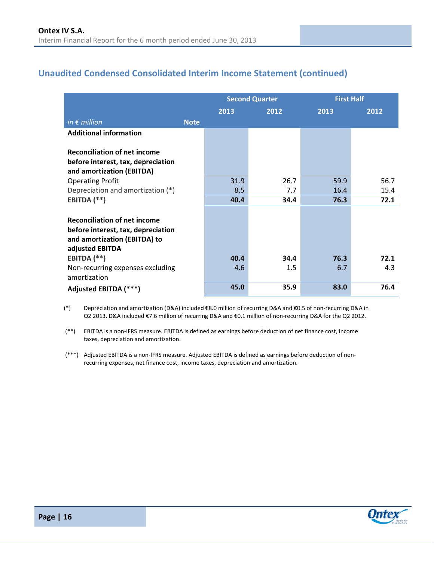## <span id="page-15-0"></span>**Unaudited Condensed Consolidated Interim Income Statement (continued)**

|                                                                                                                                             |             |      | <b>Second Quarter</b> | <b>First Half</b> |      |
|---------------------------------------------------------------------------------------------------------------------------------------------|-------------|------|-----------------------|-------------------|------|
|                                                                                                                                             |             | 2013 | 2012                  | 2013              | 2012 |
| in $\epsilon$ million                                                                                                                       | <b>Note</b> |      |                       |                   |      |
| <b>Additional information</b>                                                                                                               |             |      |                       |                   |      |
| <b>Reconciliation of net income</b><br>before interest, tax, depreciation<br>and amortization (EBITDA)                                      |             |      |                       |                   |      |
| <b>Operating Profit</b>                                                                                                                     |             | 31.9 | 26.7                  | 59.9              | 56.7 |
| Depreciation and amortization (*)                                                                                                           |             | 8.5  | 7.7                   | 16.4              | 15.4 |
| EBITDA (**)                                                                                                                                 |             | 40.4 | 34.4                  | 76.3              | 72.1 |
| <b>Reconciliation of net income</b><br>before interest, tax, depreciation<br>and amortization (EBITDA) to<br>adjusted EBITDA<br>EBITDA (**) |             | 40.4 | 34.4                  | 76.3              | 72.1 |
| Non-recurring expenses excluding<br>amortization                                                                                            |             | 4.6  | 1.5                   | 6.7               | 4.3  |
| Adjusted EBITDA (***)                                                                                                                       |             | 45.0 | 35.9                  | 83.0              | 76.4 |

(\*) Depreciation and amortization (D&A) included €8.0 million of recurring D&A and €0.5 of non-recurring D&A in Q2 2013. D&A included €7.6 million of recurring D&A and €0.1 million of non-recurring D&A for the Q2 2012.

(\*\*) EBITDA is a non-IFRS measure. EBITDA is defined as earnings before deduction of net finance cost, income taxes, depreciation and amortization.

(\*\*\*) Adjusted EBITDA is a non-IFRS measure. Adjusted EBITDA is defined as earnings before deduction of nonrecurring expenses, net finance cost, income taxes, depreciation and amortization.

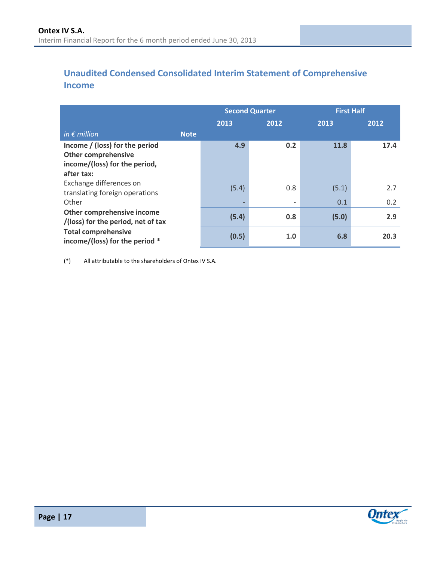## <span id="page-16-0"></span>**Unaudited Condensed Consolidated Interim Statement of Comprehensive Income**

|                                                                                                             |       | <b>Second Quarter</b>           | <b>First Half</b> |            |
|-------------------------------------------------------------------------------------------------------------|-------|---------------------------------|-------------------|------------|
|                                                                                                             | 2013  | 2012                            | 2013              | 2012       |
| in $\epsilon$ million<br><b>Note</b>                                                                        |       |                                 |                   |            |
| Income / (loss) for the period<br><b>Other comprehensive</b><br>income/(loss) for the period,<br>after tax: | 4.9   | 0.2                             | 11.8              | 17.4       |
| Exchange differences on<br>translating foreign operations<br>Other                                          | (5.4) | 0.8<br>$\overline{\phantom{a}}$ | (5.1)<br>0.1      | 2.7<br>0.2 |
| Other comprehensive income<br>/(loss) for the period, net of tax                                            | (5.4) | 0.8                             | (5.0)             | 2.9        |
| <b>Total comprehensive</b><br>income/(loss) for the period *                                                | (0.5) | 1.0                             | 6.8               | 20.3       |

(\*) All attributable to the shareholders of Ontex IV S.A.

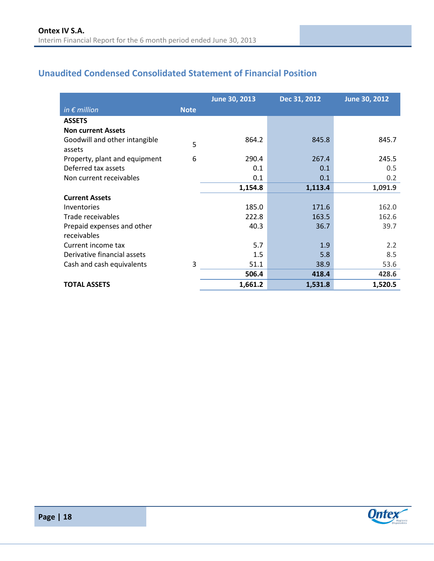## <span id="page-17-0"></span>**Unaudited Condensed Consolidated Statement of Financial Position**

|                                         |             | June 30, 2013 | Dec 31, 2012 | June 30, 2012 |
|-----------------------------------------|-------------|---------------|--------------|---------------|
| in $\epsilon$ million                   | <b>Note</b> |               |              |               |
| <b>ASSETS</b>                           |             |               |              |               |
| <b>Non current Assets</b>               |             |               |              |               |
| Goodwill and other intangible<br>assets | 5           | 864.2         | 845.8        | 845.7         |
| Property, plant and equipment           | 6           | 290.4         | 267.4        | 245.5         |
| Deferred tax assets                     |             | 0.1           | 0.1          | 0.5           |
| Non current receivables                 |             | 0.1           | 0.1          | 0.2           |
|                                         |             | 1,154.8       | 1,113.4      | 1,091.9       |
| <b>Current Assets</b>                   |             |               |              |               |
| Inventories                             |             | 185.0         | 171.6        | 162.0         |
| Trade receivables                       |             | 222.8         | 163.5        | 162.6         |
| Prepaid expenses and other              |             | 40.3          | 36.7         | 39.7          |
| receivables                             |             |               |              |               |
| Current income tax                      |             | 5.7           | 1.9          | 2.2           |
| Derivative financial assets             |             | 1.5           | 5.8          | 8.5           |
| Cash and cash equivalents               | 3           | 51.1          | 38.9         | 53.6          |
|                                         |             | 506.4         | 418.4        | 428.6         |
| <b>TOTAL ASSETS</b>                     |             | 1,661.2       | 1,531.8      | 1,520.5       |



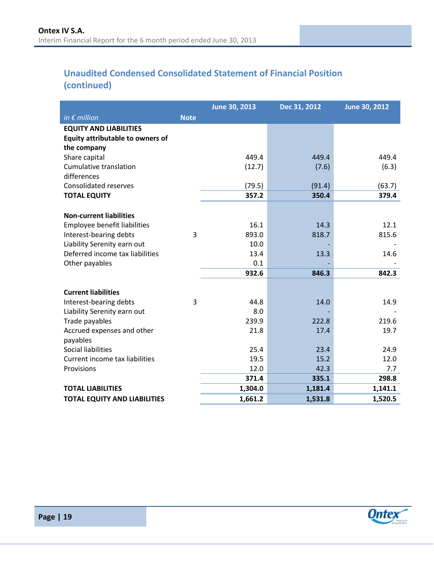## **Unaudited Condensed Consolidated Statement of Financial Position (continued)**

|                                                                                  |             | June 30, 2013 | Dec 31, 2012 | June 30, 2012 |
|----------------------------------------------------------------------------------|-------------|---------------|--------------|---------------|
| in $\epsilon$ million                                                            | <b>Note</b> |               |              |               |
| <b>EQUITY AND LIABILITIES</b><br>Equity attributable to owners of<br>the company |             |               |              |               |
| Share capital                                                                    |             | 449.4         | 449.4        | 449.4         |
| Cumulative translation<br>differences                                            |             | (12.7)        | (7.6)        | (6.3)         |
| <b>Consolidated reserves</b>                                                     |             | (79.5)        | (91.4)       | (63.7)        |
| <b>TOTAL EQUITY</b>                                                              |             | 357.2         | 350.4        | 379.4         |
|                                                                                  |             |               |              |               |
| <b>Non-current liabilities</b>                                                   |             |               |              |               |
| Employee benefit liabilities                                                     | 3           | 16.1<br>893.0 | 14.3         | 12.1          |
| Interest-bearing debts                                                           |             | 10.0          | 818.7        | 815.6         |
| Liability Serenity earn out<br>Deferred income tax liabilities                   |             | 13.4          | 13.3         | 14.6          |
| Other payables                                                                   |             | 0.1           |              |               |
|                                                                                  |             | 932.6         | 846.3        | 842.3         |
|                                                                                  |             |               |              |               |
| <b>Current liabilities</b>                                                       |             |               |              |               |
| Interest-bearing debts                                                           | 3           | 44.8          | 14.0         | 14.9          |
| Liability Serenity earn out                                                      |             | 8.0           |              |               |
| Trade payables                                                                   |             | 239.9         | 222.8        | 219.6         |
| Accrued expenses and other<br>payables                                           |             | 21.8          | 17.4         | 19.7          |
| <b>Social liabilities</b>                                                        |             | 25.4          | 23.4         | 24.9          |
| Current income tax liabilities                                                   |             | 19.5          | 15.2         | 12.0          |
| Provisions                                                                       |             | 12.0          | 42.3         | 7.7           |
|                                                                                  |             | 371.4         | 335.1        | 298.8         |
| <b>TOTAL LIABILITIES</b>                                                         |             | 1,304.0       | 1,181.4      | 1,141.1       |
| <b>TOTAL EQUITY AND LIABILITIES</b>                                              |             | 1,661.2       | 1,531.8      | 1,520.5       |

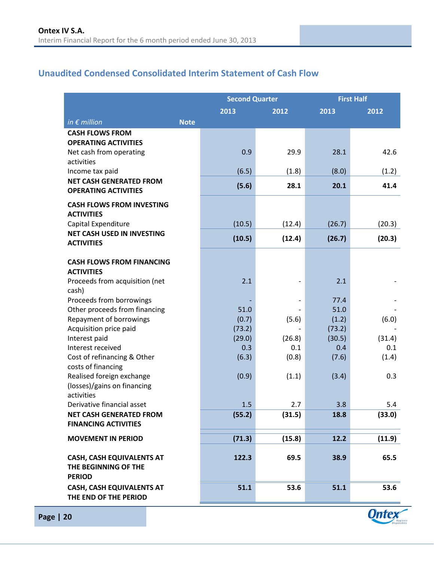## <span id="page-19-0"></span>**Unaudited Condensed Consolidated Interim Statement of Cash Flow**

|                                                              |             | <b>Second Quarter</b> |                          | <b>First Half</b> |               |
|--------------------------------------------------------------|-------------|-----------------------|--------------------------|-------------------|---------------|
|                                                              |             | 2013                  | 2012                     | 2013              | 2012          |
| in $\epsilon$ million                                        | <b>Note</b> |                       |                          |                   |               |
| <b>CASH FLOWS FROM</b>                                       |             |                       |                          |                   |               |
| <b>OPERATING ACTIVITIES</b>                                  |             |                       |                          |                   |               |
| Net cash from operating<br>activities                        |             | 0.9                   | 29.9                     | 28.1              | 42.6          |
| Income tax paid                                              |             | (6.5)                 | (1.8)                    | (8.0)             | (1.2)         |
| <b>NET CASH GENERATED FROM</b>                               |             |                       |                          |                   |               |
| <b>OPERATING ACTIVITIES</b>                                  |             | (5.6)                 | 28.1                     | 20.1              | 41.4          |
| <b>CASH FLOWS FROM INVESTING</b><br><b>ACTIVITIES</b>        |             |                       |                          |                   |               |
| Capital Expenditure                                          |             | (10.5)                | (12.4)                   | (26.7)            | (20.3)        |
| <b>NET CASH USED IN INVESTING</b><br><b>ACTIVITIES</b>       |             | (10.5)                | (12.4)                   | (26.7)            | (20.3)        |
|                                                              |             |                       |                          |                   |               |
| <b>CASH FLOWS FROM FINANCING</b>                             |             |                       |                          |                   |               |
| <b>ACTIVITIES</b><br>Proceeds from acquisition (net          |             | 2.1                   |                          | 2.1               |               |
| cash)                                                        |             |                       |                          |                   |               |
| Proceeds from borrowings                                     |             |                       | $\overline{\phantom{0}}$ | 77.4              |               |
| Other proceeds from financing                                |             | 51.0                  |                          | 51.0              |               |
| Repayment of borrowings                                      |             | (0.7)                 | (5.6)                    | (1.2)             | (6.0)         |
| Acquisition price paid                                       |             | (73.2)                |                          | (73.2)            |               |
| Interest paid<br>Interest received                           |             | (29.0)<br>0.3         | (26.8)<br>0.1            | (30.5)<br>0.4     | (31.4)<br>0.1 |
| Cost of refinancing & Other                                  |             | (6.3)                 | (0.8)                    | (7.6)             | (1.4)         |
| costs of financing                                           |             |                       |                          |                   |               |
| Realised foreign exchange                                    |             | (0.9)                 | (1.1)                    | (3.4)             | 0.3           |
| (losses)/gains on financing                                  |             |                       |                          |                   |               |
| activities                                                   |             |                       |                          |                   |               |
| Derivative financial asset<br><b>NET CASH GENERATED FROM</b> |             | 1.5                   | 2.7                      | 3.8<br>18.8       | 5.4<br>(33.0) |
| <b>FINANCING ACTIVITIES</b>                                  |             | (55.2)                | (31.5)                   |                   |               |
| <b>MOVEMENT IN PERIOD</b>                                    |             | (71.3)                | (15.8)                   | 12.2              | (11.9)        |
|                                                              |             |                       |                          |                   |               |
| <b>CASH, CASH EQUIVALENTS AT</b><br>THE BEGINNING OF THE     |             | 122.3                 | 69.5                     | 38.9              | 65.5          |
| <b>PERIOD</b>                                                |             | 51.1                  |                          | 51.1              |               |
| <b>CASH, CASH EQUIVALENTS AT</b><br>THE END OF THE PERIOD    |             |                       | 53.6                     |                   | 53.6          |



**Ontex**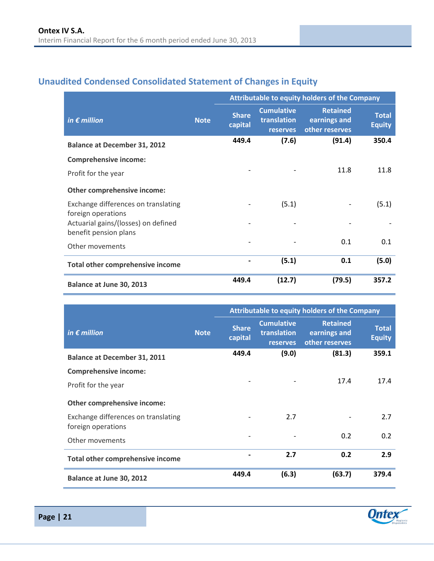## <span id="page-20-0"></span>**Unaudited Condensed Consolidated Statement of Changes in Equity**

|                                                              |             | Attributable to equity holders of the Company |                                                     |                                                   |                               |
|--------------------------------------------------------------|-------------|-----------------------------------------------|-----------------------------------------------------|---------------------------------------------------|-------------------------------|
| in $\epsilon$ million                                        | <b>Note</b> | <b>Share</b><br>capital                       | <b>Cumulative</b><br>translation<br><b>reserves</b> | <b>Retained</b><br>earnings and<br>other reserves | <b>Total</b><br><b>Equity</b> |
| <b>Balance at December 31, 2012</b>                          |             | 449.4                                         | (7.6)                                               | (91.4)                                            | 350.4                         |
| <b>Comprehensive income:</b>                                 |             |                                               |                                                     |                                                   |                               |
| Profit for the year                                          |             |                                               |                                                     | 11.8                                              | 11.8                          |
| Other comprehensive income:                                  |             |                                               |                                                     |                                                   |                               |
| Exchange differences on translating<br>foreign operations    |             |                                               | (5.1)                                               |                                                   | (5.1)                         |
| Actuarial gains/(losses) on defined<br>benefit pension plans |             |                                               |                                                     |                                                   |                               |
| Other movements                                              |             |                                               |                                                     | 0.1                                               | 0.1                           |
| Total other comprehensive income                             |             |                                               | (5.1)                                               | 0.1                                               | (5.0)                         |
| Balance at June 30, 2013                                     |             | 449.4                                         | (12.7)                                              | (79.5)                                            | 357.2                         |

|                                                           |             | Attributable to equity holders of the Company |                                                     |                                                   |                               |  |  |
|-----------------------------------------------------------|-------------|-----------------------------------------------|-----------------------------------------------------|---------------------------------------------------|-------------------------------|--|--|
| in $\epsilon$ million                                     | <b>Note</b> | <b>Share</b><br>capital                       | <b>Cumulative</b><br>translation<br><b>reserves</b> | <b>Retained</b><br>earnings and<br>other reserves | <b>Total</b><br><b>Equity</b> |  |  |
| <b>Balance at December 31, 2011</b>                       |             | 449.4                                         | (9.0)                                               | (81.3)                                            | 359.1                         |  |  |
| <b>Comprehensive income:</b>                              |             |                                               |                                                     |                                                   |                               |  |  |
| Profit for the year                                       |             |                                               |                                                     | 17.4                                              | 17.4                          |  |  |
| Other comprehensive income:                               |             |                                               |                                                     |                                                   |                               |  |  |
| Exchange differences on translating<br>foreign operations |             |                                               | 2.7                                                 |                                                   | 2.7                           |  |  |
| Other movements                                           |             |                                               |                                                     | 0.2                                               | 0.2                           |  |  |
| Total other comprehensive income                          |             |                                               | 2.7                                                 | 0.2                                               | 2.9                           |  |  |
| Balance at June 30, 2012                                  |             | 449.4                                         | (6.3)                                               | (63.7)                                            | 379.4                         |  |  |

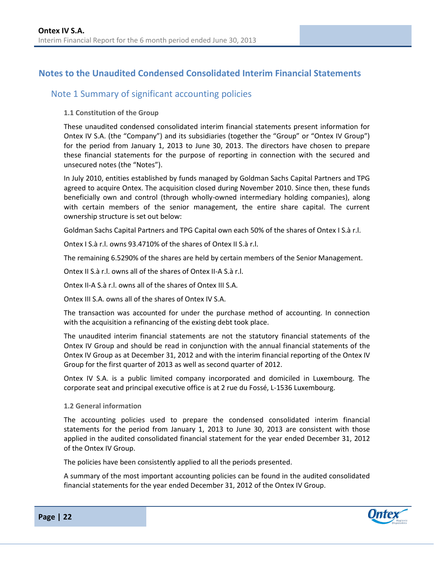## <span id="page-21-0"></span>**Notes to the Unaudited Condensed Consolidated Interim Financial Statements**

### <span id="page-21-1"></span>Note 1 Summary of significant accounting policies

#### **1.1 Constitution of the Group**

These unaudited condensed consolidated interim financial statements present information for Ontex IV S.A. (the "Company") and its subsidiaries (together the "Group" or "Ontex IV Group") for the period from January 1, 2013 to June 30, 2013. The directors have chosen to prepare these financial statements for the purpose of reporting in connection with the secured and unsecured notes (the "Notes").

In July 2010, entities established by funds managed by Goldman Sachs Capital Partners and TPG agreed to acquire Ontex. The acquisition closed during November 2010. Since then, these funds beneficially own and control (through wholly-owned intermediary holding companies), along with certain members of the senior management, the entire share capital. The current ownership structure is set out below:

Goldman Sachs Capital Partners and TPG Capital own each 50% of the shares of Ontex I S.à r.l.

Ontex I S.à r.l. owns 93.4710% of the shares of Ontex II S.à r.l.

The remaining 6.5290% of the shares are held by certain members of the Senior Management.

Ontex II S.à r.l. owns all of the shares of Ontex II-A S.à r.l.

Ontex II-A S.à r.l. owns all of the shares of Ontex III S.A.

Ontex III S.A. owns all of the shares of Ontex IV S.A.

The transaction was accounted for under the purchase method of accounting. In connection with the acquisition a refinancing of the existing debt took place.

The unaudited interim financial statements are not the statutory financial statements of the Ontex IV Group and should be read in conjunction with the annual financial statements of the Ontex IV Group as at December 31, 2012 and with the interim financial reporting of the Ontex IV Group for the first quarter of 2013 as well as second quarter of 2012.

Ontex IV S.A. is a public limited company incorporated and domiciled in Luxembourg. The corporate seat and principal executive office is at 2 rue du Fossé, L-1536 Luxembourg.

#### **1.2 General information**

The accounting policies used to prepare the condensed consolidated interim financial statements for the period from January 1, 2013 to June 30, 2013 are consistent with those applied in the audited consolidated financial statement for the year ended December 31, 2012 of the Ontex IV Group.

The policies have been consistently applied to all the periods presented.

A summary of the most important accounting policies can be found in the audited consolidated financial statements for the year ended December 31, 2012 of the Ontex IV Group.

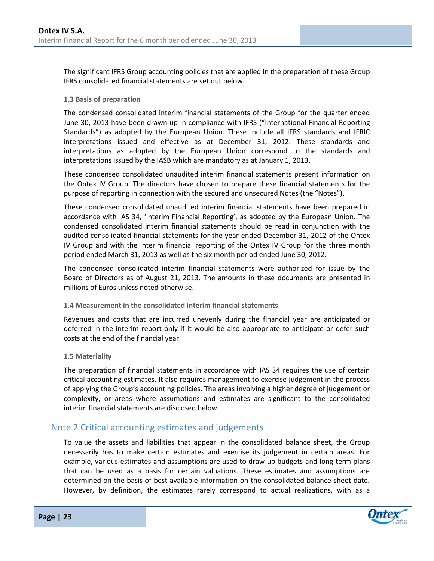The significant IFRS Group accounting policies that are applied in the preparation of these Group IFRS consolidated financial statements are set out below.

#### **1.3 Basis of preparation**

The condensed consolidated interim financial statements of the Group for the quarter ended June 30, 2013 have been drawn up in compliance with IFRS ("International Financial Reporting Standards") as adopted by the European Union. These include all IFRS standards and IFRIC interpretations issued and effective as at December 31, 2012. These standards and interpretations as adopted by the European Union correspond to the standards and interpretations issued by the IASB which are mandatory as at January 1, 2013.

These condensed consolidated unaudited interim financial statements present information on the Ontex IV Group. The directors have chosen to prepare these financial statements for the purpose of reporting in connection with the secured and unsecured Notes (the "Notes").

These condensed consolidated unaudited interim financial statements have been prepared in accordance with IAS 34, 'Interim Financial Reporting', as adopted by the European Union. The condensed consolidated interim financial statements should be read in conjunction with the audited consolidated financial statements for the year ended December 31, 2012 of the Ontex IV Group and with the interim financial reporting of the Ontex IV Group for the three month period ended March 31, 2013 as well as the six month period ended June 30, 2012.

The condensed consolidated interim financial statements were authorized for issue by the Board of Directors as of August 21, 2013. The amounts in these documents are presented in millions of Euros unless noted otherwise.

#### **1.4 Measurement in the consolidated interim financial statements**

Revenues and costs that are incurred unevenly during the financial year are anticipated or deferred in the interim report only if it would be also appropriate to anticipate or defer such costs at the end of the financial year.

#### **1.5 Materiality**

The preparation of financial statements in accordance with IAS 34 requires the use of certain critical accounting estimates. It also requires management to exercise judgement in the process of applying the Group's accounting policies. The areas involving a higher degree of judgement or complexity, or areas where assumptions and estimates are significant to the consolidated interim financial statements are disclosed below.

### <span id="page-22-0"></span>Note 2 Critical accounting estimates and judgements

To value the assets and liabilities that appear in the consolidated balance sheet, the Group necessarily has to make certain estimates and exercise its judgement in certain areas. For example, various estimates and assumptions are used to draw up budgets and long-term plans that can be used as a basis for certain valuations. These estimates and assumptions are determined on the basis of best available information on the consolidated balance sheet date. However, by definition, the estimates rarely correspond to actual realizations, with as a

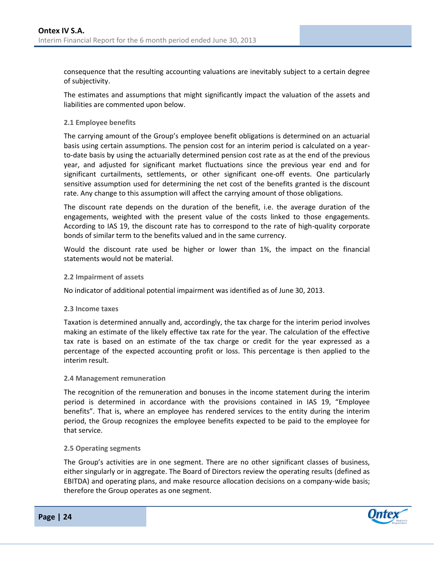consequence that the resulting accounting valuations are inevitably subject to a certain degree of subjectivity.

The estimates and assumptions that might significantly impact the valuation of the assets and liabilities are commented upon below.

#### **2.1 Employee benefits**

The carrying amount of the Group's employee benefit obligations is determined on an actuarial basis using certain assumptions. The pension cost for an interim period is calculated on a yearto-date basis by using the actuarially determined pension cost rate as at the end of the previous year, and adjusted for significant market fluctuations since the previous year end and for significant curtailments, settlements, or other significant one-off events. One particularly sensitive assumption used for determining the net cost of the benefits granted is the discount rate. Any change to this assumption will affect the carrying amount of those obligations.

The discount rate depends on the duration of the benefit, i.e. the average duration of the engagements, weighted with the present value of the costs linked to those engagements. According to IAS 19, the discount rate has to correspond to the rate of high-quality corporate bonds of similar term to the benefits valued and in the same currency.

Would the discount rate used be higher or lower than 1%, the impact on the financial statements would not be material.

#### **2.2 Impairment of assets**

No indicator of additional potential impairment was identified as of June 30, 2013.

#### **2.3 Income taxes**

Taxation is determined annually and, accordingly, the tax charge for the interim period involves making an estimate of the likely effective tax rate for the year. The calculation of the effective tax rate is based on an estimate of the tax charge or credit for the year expressed as a percentage of the expected accounting profit or loss. This percentage is then applied to the interim result.

#### **2.4 Management remuneration**

The recognition of the remuneration and bonuses in the income statement during the interim period is determined in accordance with the provisions contained in IAS 19, "Employee benefits". That is, where an employee has rendered services to the entity during the interim period, the Group recognizes the employee benefits expected to be paid to the employee for that service.

#### **2.5 Operating segments**

The Group's activities are in one segment. There are no other significant classes of business, either singularly or in aggregate. The Board of Directors review the operating results (defined as EBITDA) and operating plans, and make resource allocation decisions on a company-wide basis; therefore the Group operates as one segment.

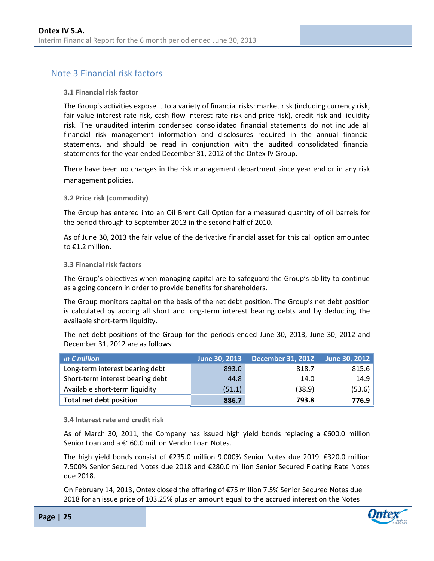## <span id="page-24-0"></span>Note 3 Financial risk factors

#### **3.1 Financial risk factor**

The Group's activities expose it to a variety of financial risks: market risk (including currency risk, fair value interest rate risk, cash flow interest rate risk and price risk), credit risk and liquidity risk. The unaudited interim condensed consolidated financial statements do not include all financial risk management information and disclosures required in the annual financial statements, and should be read in conjunction with the audited consolidated financial statements for the year ended December 31, 2012 of the Ontex IV Group.

There have been no changes in the risk management department since year end or in any risk management policies.

#### **3.2 Price risk (commodity)**

The Group has entered into an Oil Brent Call Option for a measured quantity of oil barrels for the period through to September 2013 in the second half of 2010.

As of June 30, 2013 the fair value of the derivative financial asset for this call option amounted to €1.2 million.

#### **3.3 Financial risk factors**

The Group's objectives when managing capital are to safeguard the Group's ability to continue as a going concern in order to provide benefits for shareholders.

The Group monitors capital on the basis of the net debt position. The Group's net debt position is calculated by adding all short and long-term interest bearing debts and by deducting the available short-term liquidity.

The net debt positions of the Group for the periods ended June 30, 2013, June 30, 2012 and December 31, 2012 are as follows:

| in $\epsilon$ million            |        | June 30, 2013 December 31, 2012 | June 30, 2012 |
|----------------------------------|--------|---------------------------------|---------------|
| Long-term interest bearing debt  | 893.0  | 818.7                           | 815.6         |
| Short-term interest bearing debt | 44.8   | 14.0                            | 14.9          |
| Available short-term liquidity   | (51.1) | (38.9)                          | (53.6)        |
| <b>Total net debt position</b>   | 886.7  | 793.8                           | 776.9         |

**3.4 Interest rate and credit risk**

As of March 30, 2011, the Company has issued high yield bonds replacing a  $\epsilon$ 600.0 million Senior Loan and a €160.0 million Vendor Loan Notes.

The high yield bonds consist of €235.0 million 9.000% Senior Notes due 2019, €320.0 million 7.500% Senior Secured Notes due 2018 and €280.0 million Senior Secured Floating Rate Notes due 2018.

On February 14, 2013, Ontex closed the offering of €75 million 7.5% Senior Secured Notes due 2018 for an issue price of 103.25% plus an amount equal to the accrued interest on the Notes

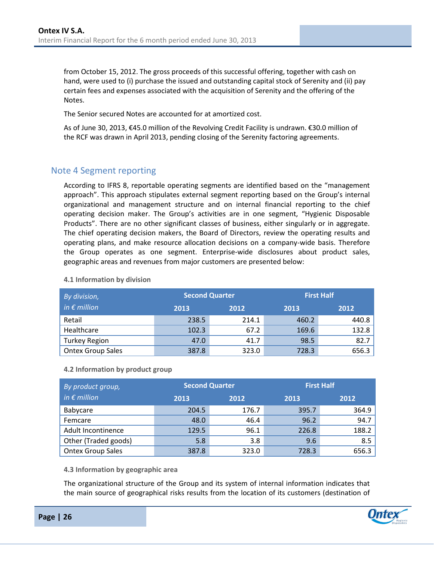from October 15, 2012. The gross proceeds of this successful offering, together with cash on hand, were used to (i) purchase the issued and outstanding capital stock of Serenity and (ii) pay certain fees and expenses associated with the acquisition of Serenity and the offering of the Notes.

The Senior secured Notes are accounted for at amortized cost.

As of June 30, 2013, €45.0 million of the Revolving Credit Facility is undrawn. €30.0 million of the RCF was drawn in April 2013, pending closing of the Serenity factoring agreements.

### <span id="page-25-0"></span>Note 4 Segment reporting

According to IFRS 8, reportable operating segments are identified based on the "management approach". This approach stipulates external segment reporting based on the Group's internal organizational and management structure and on internal financial reporting to the chief operating decision maker. The Group's activities are in one segment, "Hygienic Disposable Products". There are no other significant classes of business, either singularly or in aggregate. The chief operating decision makers, the Board of Directors, review the operating results and operating plans, and make resource allocation decisions on a company-wide basis. Therefore the Group operates as one segment. Enterprise-wide disclosures about product sales, geographic areas and revenues from major customers are presented below:

| By division,             | <b>Second Quarter</b> |       |       | <b>First Half</b> |
|--------------------------|-----------------------|-------|-------|-------------------|
| in $\epsilon$ million    | 2013<br>2012          |       | 2013  | 2012              |
| Retail                   | 238.5                 | 214.1 | 460.2 | 440.8             |
| Healthcare               | 102.3                 | 67.2  | 169.6 | 132.8             |
| <b>Turkey Region</b>     | 47.0                  | 41.7  | 98.5  | 82.7              |
| <b>Ontex Group Sales</b> | 387.8                 | 323.0 | 728.3 | 656.3             |

#### **4.1 Information by division**

#### **4.2 Information by product group**

| By product group,        | <b>Second Quarter</b> |       | <b>First Half</b> |       |  |
|--------------------------|-----------------------|-------|-------------------|-------|--|
| in $\epsilon$ million    | 2013                  | 2012  |                   | 2012  |  |
| Babycare                 | 204.5                 | 176.7 | 395.7             | 364.9 |  |
| Femcare                  | 48.0                  | 46.4  | 96.2              | 94.7  |  |
| Adult Incontinence       | 129.5                 | 96.1  | 226.8             | 188.2 |  |
| Other (Traded goods)     | 5.8                   | 3.8   | 9.6               | 8.5   |  |
| <b>Ontex Group Sales</b> | 387.8                 | 323.0 | 728.3             | 656.3 |  |

#### **4.3 Information by geographic area**

The organizational structure of the Group and its system of internal information indicates that the main source of geographical risks results from the location of its customers (destination of

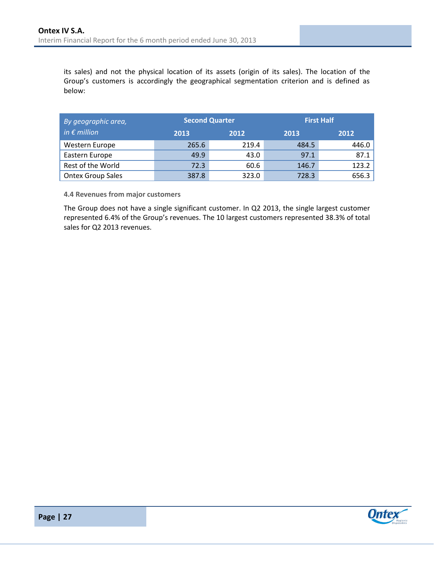its sales) and not the physical location of its assets (origin of its sales). The location of the Group's customers is accordingly the geographical segmentation criterion and is defined as below:

| By geographic area,      |       | <b>Second Quarter</b> |       | <b>First Half</b> |
|--------------------------|-------|-----------------------|-------|-------------------|
| in $\epsilon$ million    | 2013  | 2012                  |       | 2012              |
| Western Europe           | 265.6 | 219.4                 | 484.5 | 446.0             |
| Eastern Europe           | 49.9  | 43.0                  | 97.1  | 87.1              |
| Rest of the World        | 72.3  | 60.6                  | 146.7 | 123.2             |
| <b>Ontex Group Sales</b> | 387.8 | 323.0                 | 728.3 | 656.3             |

**4.4 Revenues from major customers**

The Group does not have a single significant customer. In Q2 2013, the single largest customer represented 6.4% of the Group's revenues. The 10 largest customers represented 38.3% of total sales for Q2 2013 revenues.



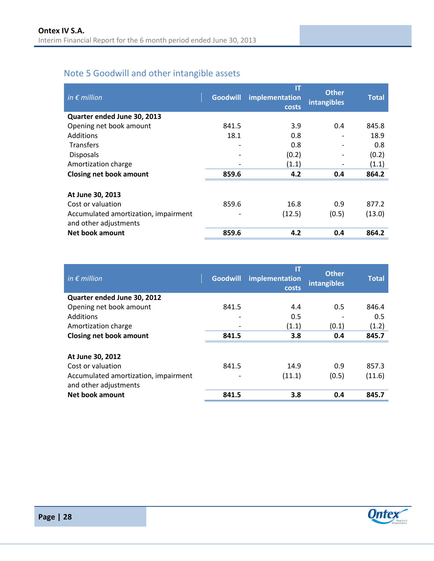## <span id="page-27-0"></span>Note 5 Goodwill and other intangible assets

| in $\epsilon$ million                                         | <b>Goodwill</b> | IT<br>implementation<br>costs | <b>Other</b><br>intangibles | <b>Total</b> |
|---------------------------------------------------------------|-----------------|-------------------------------|-----------------------------|--------------|
| Quarter ended June 30, 2013                                   |                 |                               |                             |              |
| Opening net book amount                                       | 841.5           | 3.9                           | 0.4                         | 845.8        |
| Additions                                                     | 18.1            | 0.8                           |                             | 18.9         |
| <b>Transfers</b>                                              |                 | 0.8                           |                             | 0.8          |
| <b>Disposals</b>                                              |                 | (0.2)                         |                             | (0.2)        |
| Amortization charge                                           |                 | (1.1)                         |                             | (1.1)        |
| <b>Closing net book amount</b>                                | 859.6           | 4.2                           | 0.4                         | 864.2        |
| At June 30, 2013                                              |                 |                               |                             |              |
| Cost or valuation                                             | 859.6           | 16.8                          | 0.9                         | 877.2        |
| Accumulated amortization, impairment<br>and other adjustments |                 | (12.5)                        | (0.5)                       | (13.0)       |
| Net book amount                                               | 859.6           | 4.2                           | 0.4                         | 864.2        |

| in $\epsilon$ million                                         | <b>Goodwill</b> | IT<br>implementation<br>costs | <b>Other</b><br>intangibles | <b>Total</b> |
|---------------------------------------------------------------|-----------------|-------------------------------|-----------------------------|--------------|
| Quarter ended June 30, 2012                                   |                 |                               |                             |              |
| Opening net book amount                                       | 841.5           | 4.4                           | 0.5                         | 846.4        |
| Additions                                                     | ٠               | 0.5                           |                             | 0.5          |
| Amortization charge                                           |                 | (1.1)                         | (0.1)                       | (1.2)        |
| <b>Closing net book amount</b>                                | 841.5           | 3.8                           | 0.4                         | 845.7        |
|                                                               |                 |                               |                             |              |
| At June 30, 2012                                              |                 |                               |                             |              |
| Cost or valuation                                             | 841.5           | 14.9                          | 0.9                         | 857.3        |
| Accumulated amortization, impairment<br>and other adjustments |                 | (11.1)                        | (0.5)                       | (11.6)       |
| Net book amount                                               | 841.5           | 3.8                           | 0.4                         | 845.7        |

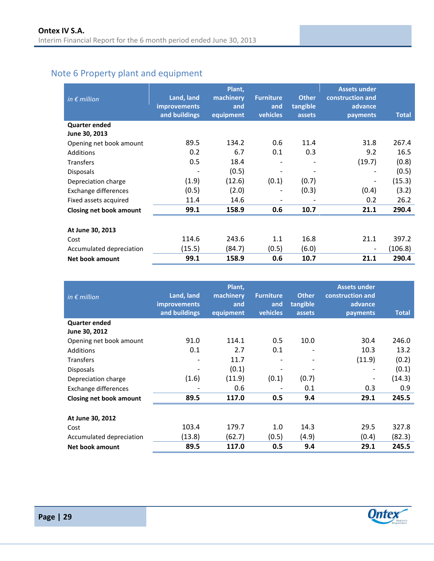## <span id="page-28-0"></span>Note 6 Property plant and equipment

| in $\epsilon$ million    | Land, land<br><b>improvements</b><br>and buildings | Plant,<br>machinery<br>and<br>equipment | <b>Furniture</b><br>and<br>vehicles | <b>Other</b><br>tangible<br>assets | <b>Assets under</b><br>construction and<br>advance<br>payments | <b>Total</b> |
|--------------------------|----------------------------------------------------|-----------------------------------------|-------------------------------------|------------------------------------|----------------------------------------------------------------|--------------|
| <b>Quarter ended</b>     |                                                    |                                         |                                     |                                    |                                                                |              |
| June 30, 2013            |                                                    |                                         |                                     |                                    |                                                                |              |
| Opening net book amount  | 89.5                                               | 134.2                                   | 0.6                                 | 11.4                               | 31.8                                                           | 267.4        |
| <b>Additions</b>         | 0.2                                                | 6.7                                     | 0.1                                 | 0.3                                | 9.2                                                            | 16.5         |
| Transfers                | 0.5                                                | 18.4                                    |                                     |                                    | (19.7)                                                         | (0.8)        |
| <b>Disposals</b>         | $\qquad \qquad \blacksquare$                       | (0.5)                                   | -                                   |                                    | $\overline{\phantom{a}}$                                       | (0.5)        |
| Depreciation charge      | (1.9)                                              | (12.6)                                  | (0.1)                               | (0.7)                              | $\overline{\phantom{a}}$                                       | (15.3)       |
| Exchange differences     | (0.5)                                              | (2.0)                                   | -                                   | (0.3)                              | (0.4)                                                          | (3.2)        |
| Fixed assets acquired    | 11.4                                               | 14.6                                    | $\overline{a}$                      |                                    | 0.2                                                            | 26.2         |
| Closing net book amount  | 99.1                                               | 158.9                                   | 0.6                                 | 10.7                               | 21.1                                                           | 290.4        |
|                          |                                                    |                                         |                                     |                                    |                                                                |              |
| At June 30, 2013         |                                                    |                                         |                                     |                                    |                                                                |              |
| Cost                     | 114.6                                              | 243.6                                   | 1.1                                 | 16.8                               | 21.1                                                           | 397.2        |
| Accumulated depreciation | (15.5)                                             | (84.7)                                  | (0.5)                               | (6.0)                              | $\overline{\phantom{a}}$                                       | (106.8)      |
| Net book amount          | 99.1                                               | 158.9                                   | 0.6                                 | 10.7                               | 21.1                                                           | 290.4        |

| in $\epsilon$ million    | Land, land<br><b>improvements</b><br>and buildings | Plant,<br>machinery<br>and<br>equipment | <b>Furniture</b><br>and<br>vehicles | <b>Other</b><br>tangible<br>assets | <b>Assets under</b><br>construction and<br>advance<br>payments | <b>Total</b> |
|--------------------------|----------------------------------------------------|-----------------------------------------|-------------------------------------|------------------------------------|----------------------------------------------------------------|--------------|
| <b>Quarter ended</b>     |                                                    |                                         |                                     |                                    |                                                                |              |
| June 30, 2012            |                                                    |                                         |                                     |                                    |                                                                |              |
| Opening net book amount  | 91.0                                               | 114.1                                   | 0.5                                 | 10.0                               | 30.4                                                           | 246.0        |
| Additions                | 0.1                                                | 2.7                                     | 0.1                                 | $\overline{\phantom{0}}$           | 10.3                                                           | 13.2         |
| Transfers                |                                                    | 11.7                                    | $\qquad \qquad -$                   | $\overline{\phantom{a}}$           | (11.9)                                                         | (0.2)        |
| <b>Disposals</b>         | $\overline{\phantom{a}}$                           | (0.1)                                   | $\overline{\phantom{a}}$            |                                    | $\overline{\phantom{a}}$                                       | (0.1)        |
| Depreciation charge      | (1.6)                                              | (11.9)                                  | (0.1)                               | (0.7)                              | $\qquad \qquad \blacksquare$                                   | (14.3)       |
| Exchange differences     |                                                    | 0.6                                     | $\overline{\phantom{a}}$            | 0.1                                | 0.3                                                            | 0.9          |
| Closing net book amount  | 89.5                                               | 117.0                                   | 0.5                                 | 9.4                                | 29.1                                                           | 245.5        |
|                          |                                                    |                                         |                                     |                                    |                                                                |              |
| At June 30, 2012         |                                                    |                                         |                                     |                                    |                                                                |              |
| Cost                     | 103.4                                              | 179.7                                   | 1.0                                 | 14.3                               | 29.5                                                           | 327.8        |
| Accumulated depreciation | (13.8)                                             | (62.7)                                  | (0.5)                               | (4.9)                              | (0.4)                                                          | (82.3)       |
| Net book amount          | 89.5                                               | 117.0                                   | 0.5                                 | 9.4                                | 29.1                                                           | 245.5        |

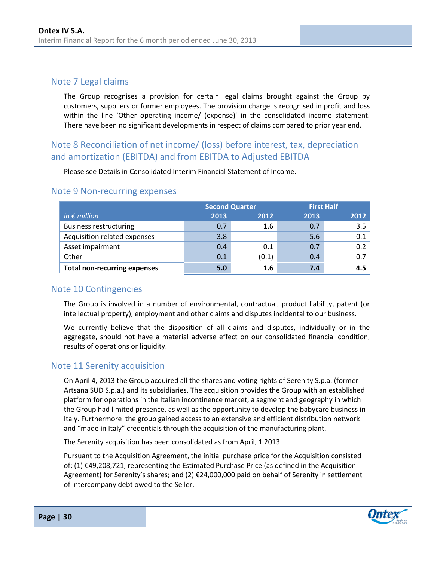## <span id="page-29-0"></span>Note 7 Legal claims

The Group recognises a provision for certain legal claims brought against the Group by customers, suppliers or former employees. The provision charge is recognised in profit and loss within the line 'Other operating income/ (expense)' in the consolidated income statement. There have been no significant developments in respect of claims compared to prior year end.

## <span id="page-29-1"></span>Note 8 Reconciliation of net income/ (loss) before interest, tax, depreciation and amortization (EBITDA) and from EBITDA to Adjusted EBITDA

Please see Details in Consolidated Interim Financial Statement of Income.

|                                     |      | <b>Second Quarter</b> | <b>First Half</b> |      |
|-------------------------------------|------|-----------------------|-------------------|------|
| in $\epsilon$ million               | 2013 | 2012                  | 2013              | 2012 |
| <b>Business restructuring</b>       | 0.7  | 1.6                   | 0.7               | 3.5  |
| Acquisition related expenses        | 3.8  |                       | 5.6               | 0.1  |
| Asset impairment                    | 0.4  | 0.1                   | 0.7               | 0.2  |
| Other                               | 0.1  | (0.1)                 | 0.4               | 0.7  |
| <b>Total non-recurring expenses</b> | 5.0  | 1.6                   | 7.4               | 4.5  |

### <span id="page-29-2"></span>Note 9 Non-recurring expenses

### <span id="page-29-3"></span>Note 10 Contingencies

The Group is involved in a number of environmental, contractual, product liability, patent (or intellectual property), employment and other claims and disputes incidental to our business.

We currently believe that the disposition of all claims and disputes, individually or in the aggregate, should not have a material adverse effect on our consolidated financial condition, results of operations or liquidity.

## <span id="page-29-4"></span>Note 11 Serenity acquisition

On April 4, 2013 the Group acquired all the shares and voting rights of Serenity S.p.a. (former Artsana SUD S.p.a.) and its subsidiaries. The acquisition provides the Group with an established platform for operations in the Italian incontinence market, a segment and geography in which the Group had limited presence, as well as the opportunity to develop the babycare business in Italy. Furthermore the group gained access to an extensive and efficient distribution network and "made in Italy" credentials through the acquisition of the manufacturing plant.

The Serenity acquisition has been consolidated as from April, 1 2013.

Pursuant to the Acquisition Agreement, the initial purchase price for the Acquisition consisted of: (1) €49,208,721, representing the Estimated Purchase Price (as defined in the Acquisition Agreement) for Serenity's shares; and (2) €24,000,000 paid on behalf of Serenity in settlement of intercompany debt owed to the Seller.

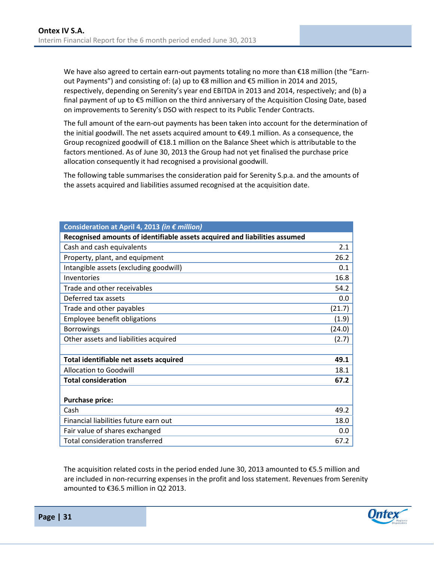We have also agreed to certain earn-out payments totaling no more than €18 million (the "Earnout Payments") and consisting of: (a) up to €8 million and €5 million in 2014 and 2015, respectively, depending on Serenity's year end EBITDA in 2013 and 2014, respectively; and (b) a final payment of up to €5 million on the third anniversary of the Acquisition Closing Date, based on improvements to Serenity's DSO with respect to its Public Tender Contracts.

The full amount of the earn-out payments has been taken into account for the determination of the initial goodwill. The net assets acquired amount to €49.1 million. As a consequence, the Group recognized goodwill of €18.1 million on the Balance Sheet which is attributable to the factors mentioned. As of June 30, 2013 the Group had not yet finalised the purchase price allocation consequently it had recognised a provisional goodwill.

The following table summarises the consideration paid for Serenity S.p.a. and the amounts of the assets acquired and liabilities assumed recognised at the acquisition date.

| Consideration at April 4, 2013 (in € million)                              |        |
|----------------------------------------------------------------------------|--------|
| Recognised amounts of identifiable assets acquired and liabilities assumed |        |
| Cash and cash equivalents                                                  | 2.1    |
| Property, plant, and equipment                                             | 26.2   |
| Intangible assets (excluding goodwill)                                     | 0.1    |
| Inventories                                                                | 16.8   |
| Trade and other receivables                                                | 54.2   |
| Deferred tax assets                                                        | 0.0    |
| Trade and other payables                                                   | (21.7) |
| Employee benefit obligations                                               | (1.9)  |
| <b>Borrowings</b>                                                          | (24.0) |
| Other assets and liabilities acquired                                      | (2.7)  |
|                                                                            |        |
| Total identifiable net assets acquired                                     | 49.1   |
| <b>Allocation to Goodwill</b>                                              | 18.1   |
| <b>Total consideration</b>                                                 | 67.2   |
|                                                                            |        |
| <b>Purchase price:</b>                                                     |        |
| Cash                                                                       | 49.2   |
| Financial liabilities future earn out                                      | 18.0   |
| Fair value of shares exchanged                                             | 0.0    |
| <b>Total consideration transferred</b>                                     | 67.2   |

The acquisition related costs in the period ended June 30, 2013 amounted to €5.5 million and are included in non-recurring expenses in the profit and loss statement. Revenues from Serenity amounted to €36.5 million in Q2 2013.